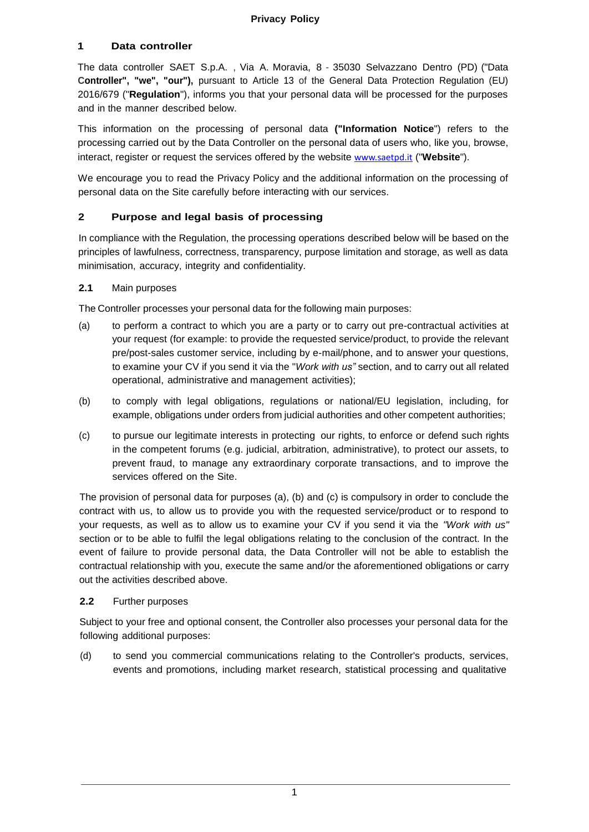## **1 Data controller**

The data controller SAET S.p.A. , Via A. Moravia, 8 - 35030 Selvazzano Dentro (PD) ("Data **Controller", "we", "our"),** pursuant to Article 13 of the General Data Protection Regulation (EU) 2016/679 ("**Regulation**"), informs you that your personal data will be processed for the purposes and in the manner described below.

This information on the processing of personal data **("Information Notice**") refers to the processing carried out by the Data Controller on the personal data of users who, like you, browse, interact, register or request the services offered by the website [www.saetpd.it](http://www.saetpd.it/) ("**Website**").

We encourage you to read the Privacy Policy and the additional information on the processing of personal data on the Site carefully before interacting with our services.

## **2 Purpose and legal basis of processing**

In compliance with the Regulation, the processing operations described below will be based on the principles of lawfulness, correctness, transparency, purpose limitation and storage, as well as data minimisation, accuracy, integrity and confidentiality.

#### **2.1** Main purposes

The Controller processes your personal data for the following main purposes:

- (a) to perform a contract to which you are a party or to carry out pre-contractual activities at your request (for example: to provide the requested service/product, to provide the relevant pre/post-sales customer service, including by e-mail/phone, and to answer your questions, to examine your CV if you send it via the "*Work with us"* section, and to carry out all related operational, administrative and management activities);
- (b) to comply with legal obligations, regulations or national/EU legislation, including, for example, obligations under orders from judicial authorities and other competent authorities;
- (c) to pursue our legitimate interests in protecting our rights, to enforce or defend such rights in the competent forums (e.g. judicial, arbitration, administrative), to protect our assets, to prevent fraud, to manage any extraordinary corporate transactions, and to improve the services offered on the Site.

The provision of personal data for purposes (a), (b) and (c) is compulsory in order to conclude the contract with us, to allow us to provide you with the requested service/product or to respond to your requests, as well as to allow us to examine your CV if you send it via the *"Work with us"* section or to be able to fulfil the legal obligations relating to the conclusion of the contract. In the event of failure to provide personal data, the Data Controller will not be able to establish the contractual relationship with you, execute the same and/or the aforementioned obligations or carry out the activities described above.

#### **2.2** Further purposes

Subject to your free and optional consent, the Controller also processes your personal data for the following additional purposes:

(d) to send you commercial communications relating to the Controller's products, services, events and promotions, including market research, statistical processing and qualitative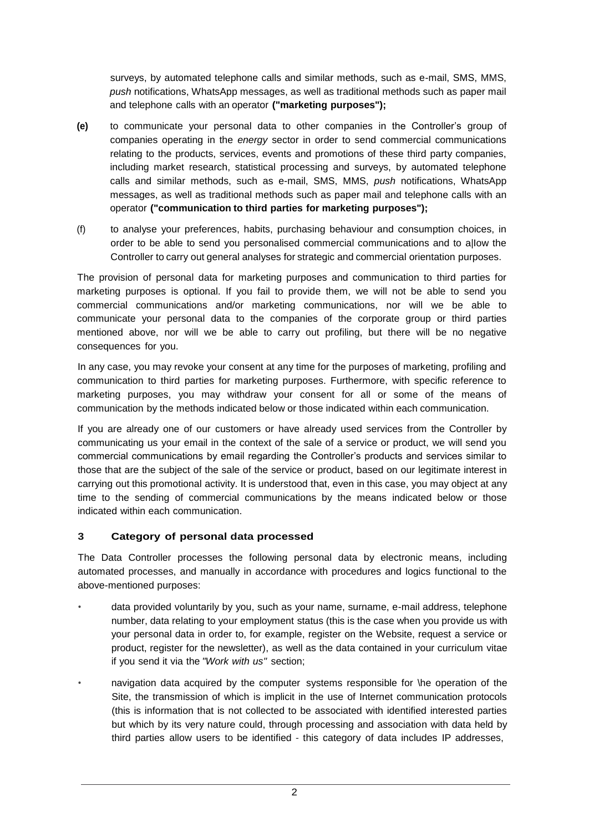surveys, by automated telephone calls and similar methods, such as e-mail, SMS, MMS, *push* notifications, WhatsApp messages, as well as traditional methods such as paper mail and telephone calls with an operator **("marketing purposes");**

- **(e)** to communicate your personal data to other companies in the Controller's group of companies operating in the *energy* sector in order to send commercial communications relating to the products, services, events and promotions of these third party companies, including market research, statistical processing and surveys, by automated telephone calls and similar methods, such as e-mail, SMS, MMS, *push* notifications, WhatsApp messages, as well as traditional methods such as paper mail and telephone calls with an operator **("communication to third parties for marketing purposes");**
- (f) to analyse your preferences, habits, purchasing behaviour and consumption choices, in order to be able to send you personalised commercial communications and to a|Iow the Controller to carry out general analyses for strategic and commercial orientation purposes.

The provision of personal data for marketing purposes and communication to third parties for marketing purposes is optional. If you fail to provide them, we will not be able to send you commercial communications and/or marketing communications, nor will we be able to communicate your personal data to the companies of the corporate group or third parties mentioned above, nor will we be able to carry out profiling, but there will be no negative consequences for you.

In any case, you may revoke your consent at any time for the purposes of marketing, profiling and communication to third parties for marketing purposes. Furthermore, with specific reference to marketing purposes, you may withdraw your consent for all or some of the means of communication by the methods indicated below or those indicated within each communication.

If you are already one of our customers or have already used services from the Controller by communicating us your email in the context of the sale of a service or product, we will send you commercial communications by email regarding the Controller's products and services similar to those that are the subject of the sale of the service or product, based on our legitimate interest in carrying out this promotional activity. It is understood that, even in this case, you may object at any time to the sending of commercial communications by the means indicated below or those indicated within each communication.

# **3 Category of personal data processed**

The Data Controller processes the following personal data by electronic means, including automated processes, and manually in accordance with procedures and logics functional to the above-mentioned purposes:

- data provided voluntarily by you, such as your name, surname, e-mail address, telephone number, data relating to your employment status (this is the case when you provide us with your personal data in order to, for example, register on the Website, request a service or product, register for the newsletter), as well as the data contained in your curriculum vitae if you send it via the *"Work with us"* section;
- navigation data acquired by the computer systems responsible for \he operation of the Site, the transmission of which is implicit in the use of Internet communication protocols (this is information that is not collected to be associated with identified interested parties but which by its very nature could, through processing and association with data held by third parties allow users to be identified - this category of data includes IP addresses,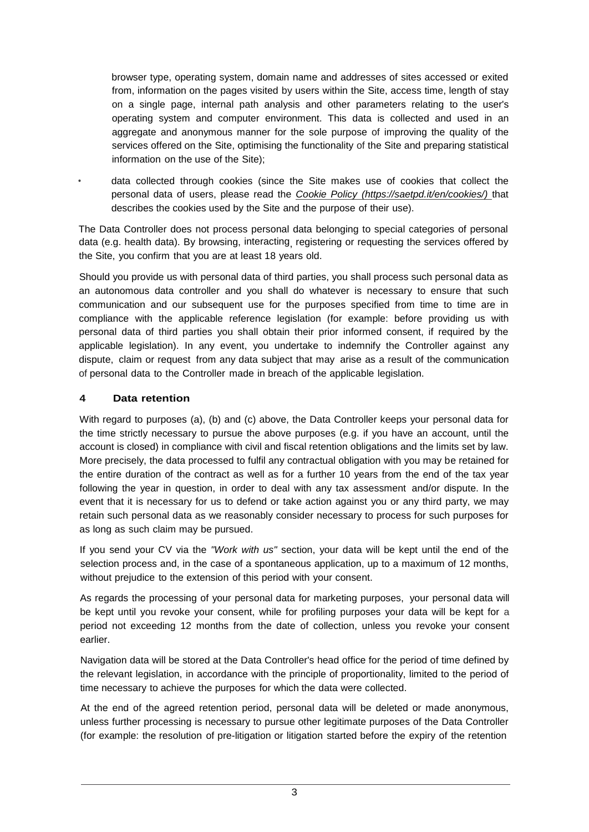browser type, operating system, domain name and addresses of sites accessed or exited from, information on the pages visited by users within the Site, access time, length of stay on a single page, internal path analysis and other parameters relating to the user's operating system and computer environment. This data is collected and used in an aggregate and anonymous manner for the sole purpose of improving the quality of the services offered on the Site, optimising the functionality of the Site and preparing statistical information on the use of the Site);

• data collected through cookies (since the Site makes use of cookies that collect the personal data of users, please read the *Cookie Policy (https://saetpd.it/en/cookies/)* that describes the cookies used by the Site and the purpose of their use).

The Data Controller does not process personal data belonging to special categories of personal data (e.g. health data). By browsing, interacting, registering or requesting the services offered by the Site, you confirm that you are at least 18 years old.

Should you provide us with personal data of third parties, you shall process such personal data as an autonomous data controller and you shall do whatever is necessary to ensure that such communication and our subsequent use for the purposes specified from time to time are in compliance with the applicable reference legislation (for example: before providing us with personal data of third parties you shall obtain their prior informed consent, if required by the applicable legislation). In any event, you undertake to indemnify the Controller against any dispute, claim or request from any data subject that may arise as a result of the communication of personal data to the Controller made in breach of the applicable legislation.

## **4 Data retention**

With regard to purposes (a), (b) and (c) above, the Data Controller keeps your personal data for the time strictly necessary to pursue the above purposes (e.g. if you have an account, until the account is closed) in compliance with civil and fiscal retention obligations and the limits set by law. More precisely, the data processed to fulfil any contractual obligation with you may be retained for the entire duration of the contract as well as for a further 10 years from the end of the tax year following the year in question, in order to deal with any tax assessment and/or dispute. In the event that it is necessary for us to defend or take action against you or any third party, we may retain such personal data as we reasonably consider necessary to process for such purposes for as long as such claim may be pursued.

If you send your CV via the *"Work with us"* section, your data will be kept until the end of the selection process and, in the case of a spontaneous application, up to a maximum of 12 months, without prejudice to the extension of this period with your consent.

As regards the processing of your personal data for marketing purposes, your personal data will be kept until you revoke your consent, while for profiling purposes your data will be kept for a period not exceeding 12 months from the date of collection, unless you revoke your consent earlier.

Navigation data will be stored at the Data Controller's head office for the period of time defined by the relevant legislation, in accordance with the principle of proportionality, limited to the period of time necessary to achieve the purposes for which the data were collected.

At the end of the agreed retention period, personal data will be deleted or made anonymous, unless further processing is necessary to pursue other legitimate purposes of the Data Controller (for example: the resolution of pre-litigation or litigation started before the expiry of the retention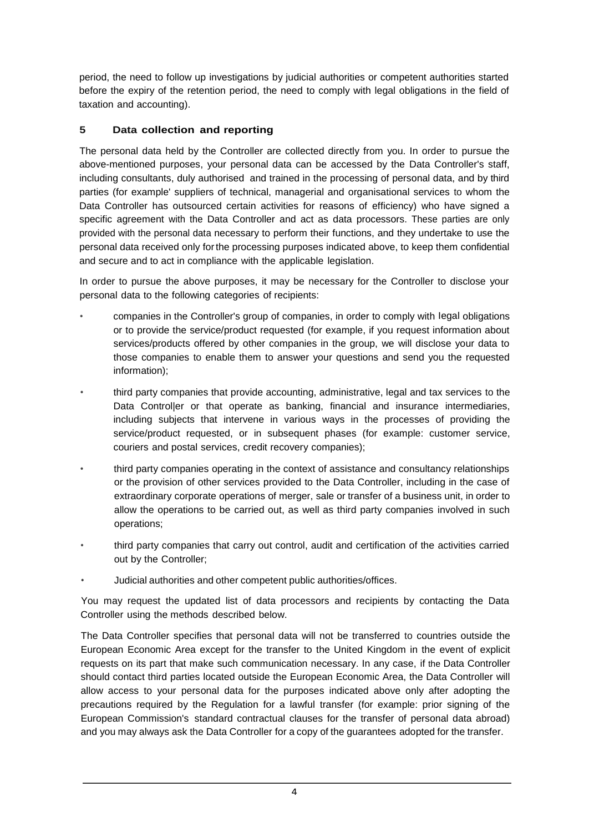period, the need to follow up investigations by judicial authorities or competent authorities started before the expiry of the retention period, the need to comply with legal obligations in the field of taxation and accounting).

# **5 Data collection and reporting**

The personal data held by the Controller are collected directly from you. In order to pursue the above-mentioned purposes, your personal data can be accessed by the Data Controller's staff, including consultants, duly authorised and trained in the processing of personal data, and by third parties (for example' suppliers of technical, managerial and organisational services to whom the Data Controller has outsourced certain activities for reasons of efficiency) who have signed a specific agreement with the Data Controller and act as data processors. These parties are only provided with the personal data necessary to perform their functions, and they undertake to use the personal data received only forthe processing purposes indicated above, to keep them confidential and secure and to act in compliance with the applicable legislation.

In order to pursue the above purposes, it may be necessary for the Controller to disclose your personal data to the following categories of recipients:

- companies in the Controller's group of companies, in order to comply with Iegal obligations or to provide the service/product requested (for example, if you request information about services/products offered by other companies in the group, we will disclose your data to those companies to enable them to answer your questions and send you the requested information);
- third party companies that provide accounting, administrative, legal and tax services to the Data Control|er or that operate as banking, financial and insurance intermediaries, including subjects that intervene in various ways in the processes of providing the service/product requested, or in subsequent phases (for example: customer service, couriers and postal services, credit recovery companies);
- third party companies operating in the context of assistance and consultancy relationships or the provision of other services provided to the Data Controller, including in the case of extraordinary corporate operations of merger, sale or transfer of a business unit, in order to allow the operations to be carried out, as well as third party companies involved in such operations;
- third party companies that carry out control, audit and certification of the activities carried out by the Controller;
- Judicial authorities and other competent public authorities/offices.

You may request the updated list of data processors and recipients by contacting the Data Controller using the methods described below.

The Data Controller specifies that personal data will not be transferred to countries outside the European Economic Area except for the transfer to the United Kingdom in the event of explicit requests on its part that make such communication necessary. In any case, if the Data Controller should contact third parties located outside the European Economic Area, the Data Controller will allow access to your personal data for the purposes indicated above only after adopting the precautions required by the Regulation for a lawful transfer (for example: prior signing of the European Commission's standard contractual clauses for the transfer of personal data abroad) and you may always ask the Data Controller for a copy of the guarantees adopted for the transfer.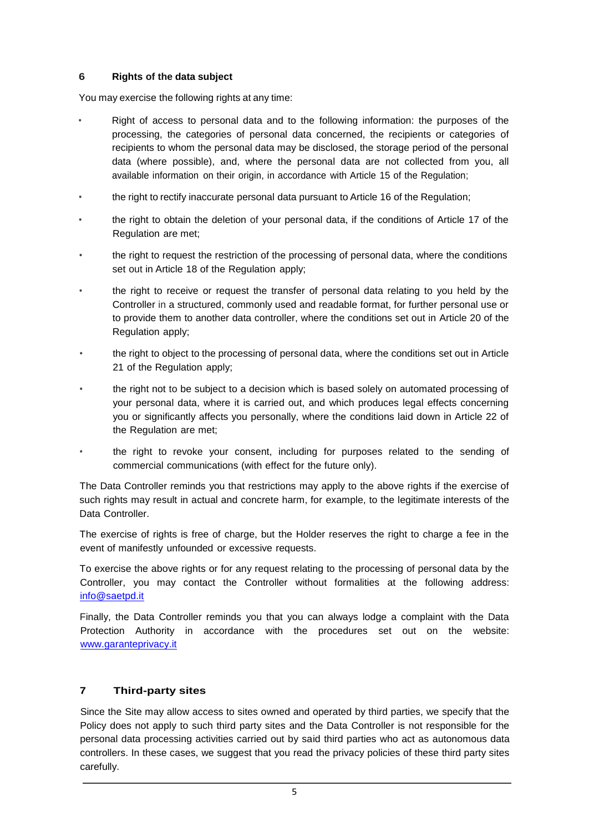## **6 Rights of the data subject**

You may exercise the following rights at any time:

- Right of access to personal data and to the following information: the purposes of the processing, the categories of personal data concerned, the recipients or categories of recipients to whom the personal data may be disclosed, the storage period of the personal data (where possible), and, where the personal data are not collected from you, all available information on their origin, in accordance with Article 15 of the Regulation;
- the right to rectify inaccurate personal data pursuant to Article 16 of the Regulation;
- the right to obtain the deletion of your personal data, if the conditions of Article 17 of the Regulation are met;
- the right to request the restriction of the processing of personal data, where the conditions set out in Article 18 of the Regulation apply;
- the right to receive or request the transfer of personal data relating to you held by the Controller in a structured, commonly used and readable format, for further personal use or to provide them to another data controller, where the conditions set out in Article 20 of the Regulation apply;
- the right to object to the processing of personal data, where the conditions set out in Article 21 of the Regulation apply;
- the right not to be subject to a decision which is based solely on automated processing of your personal data, where it is carried out, and which produces legal effects concerning you or significantly affects you personally, where the conditions laid down in Article 22 of the Regulation are met;
- the right to revoke your consent, including for purposes related to the sending of commercial communications (with effect for the future only).

The Data Controller reminds you that restrictions may apply to the above rights if the exercise of such rights may result in actual and concrete harm, for example, to the legitimate interests of the Data Controller.

The exercise of rights is free of charge, but the Holder reserves the right to charge a fee in the event of manifestly unfounded or excessive requests.

To exercise the above rights or for any request relating to the processing of personal data by the Controller, you may contact the Controller without formalities at the following address: [info@saetpd.it](mailto:info@saetpd.it)

Finally, the Data Controller reminds you that you can always lodge a complaint with the Data Protection Authority in accordance with the procedures set out on the website: [www.garanteprivacy.it](http://www.garanteprivacy.it/)

# **7 Third-party sites**

Since the Site may allow access to sites owned and operated by third parties, we specify that the Policy does not apply to such third party sites and the Data Controller is not responsible for the personal data processing activities carried out by said third parties who act as autonomous data controllers. In these cases, we suggest that you read the privacy policies of these third party sites carefully.